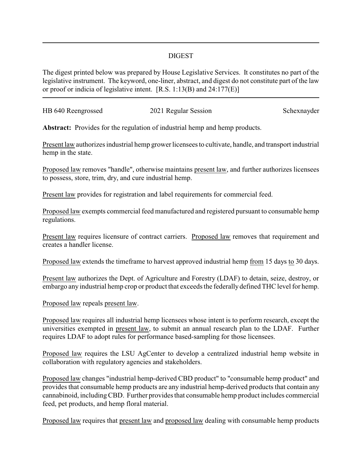## DIGEST

The digest printed below was prepared by House Legislative Services. It constitutes no part of the legislative instrument. The keyword, one-liner, abstract, and digest do not constitute part of the law or proof or indicia of legislative intent. [R.S. 1:13(B) and 24:177(E)]

| HB 640 Reengrossed | 2021 Regular Session | Schexnayder |
|--------------------|----------------------|-------------|
|                    |                      |             |

**Abstract:** Provides for the regulation of industrial hemp and hemp products.

Present law authorizes industrial hemp grower licensees to cultivate, handle, and transport industrial hemp in the state.

Proposed law removes "handle", otherwise maintains present law, and further authorizes licensees to possess, store, trim, dry, and cure industrial hemp.

Present law provides for registration and label requirements for commercial feed.

Proposed law exempts commercial feed manufactured and registered pursuant to consumable hemp regulations.

Present law requires licensure of contract carriers. Proposed law removes that requirement and creates a handler license.

Proposed law extends the timeframe to harvest approved industrial hemp from 15 days to 30 days.

Present law authorizes the Dept. of Agriculture and Forestry (LDAF) to detain, seize, destroy, or embargo any industrial hemp crop or product that exceeds the federallydefined THC level for hemp.

Proposed law repeals present law.

Proposed law requires all industrial hemp licensees whose intent is to perform research, except the universities exempted in present law, to submit an annual research plan to the LDAF. Further requires LDAF to adopt rules for performance based-sampling for those licensees.

Proposed law requires the LSU AgCenter to develop a centralized industrial hemp website in collaboration with regulatory agencies and stakeholders.

Proposed law changes "industrial hemp-derived CBD product" to "consumable hemp product" and provides that consumable hemp products are any industrial hemp-derived products that contain any cannabinoid, includingCBD. Further provides that consumable hemp product includes commercial feed, pet products, and hemp floral material.

Proposed law requires that present law and proposed law dealing with consumable hemp products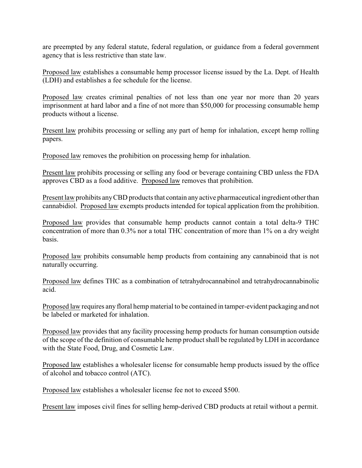are preempted by any federal statute, federal regulation, or guidance from a federal government agency that is less restrictive than state law.

Proposed law establishes a consumable hemp processor license issued by the La. Dept. of Health (LDH) and establishes a fee schedule for the license.

Proposed law creates criminal penalties of not less than one year nor more than 20 years imprisonment at hard labor and a fine of not more than \$50,000 for processing consumable hemp products without a license.

Present law prohibits processing or selling any part of hemp for inhalation, except hemp rolling papers.

Proposed law removes the prohibition on processing hemp for inhalation.

Present law prohibits processing or selling any food or beverage containing CBD unless the FDA approves CBD as a food additive. Proposed law removes that prohibition.

Present law prohibits anyCBD products that contain any active pharmaceutical ingredient other than cannabidiol. Proposed law exempts products intended for topical application from the prohibition.

Proposed law provides that consumable hemp products cannot contain a total delta-9 THC concentration of more than 0.3% nor a total THC concentration of more than 1% on a dry weight basis.

Proposed law prohibits consumable hemp products from containing any cannabinoid that is not naturally occurring.

Proposed law defines THC as a combination of tetrahydrocannabinol and tetrahydrocannabinolic acid.

Proposed law requires any floral hemp material to be contained in tamper-evident packaging and not be labeled or marketed for inhalation.

Proposed law provides that any facility processing hemp products for human consumption outside of the scope of the definition of consumable hemp product shall be regulated by LDH in accordance with the State Food, Drug, and Cosmetic Law.

Proposed law establishes a wholesaler license for consumable hemp products issued by the office of alcohol and tobacco control (ATC).

Proposed law establishes a wholesaler license fee not to exceed \$500.

Present law imposes civil fines for selling hemp-derived CBD products at retail without a permit.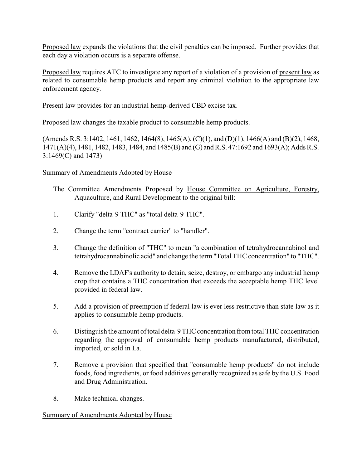Proposed law expands the violations that the civil penalties can be imposed. Further provides that each day a violation occurs is a separate offense.

Proposed law requires ATC to investigate any report of a violation of a provision of present law as related to consumable hemp products and report any criminal violation to the appropriate law enforcement agency.

Present law provides for an industrial hemp-derived CBD excise tax.

Proposed law changes the taxable product to consumable hemp products.

(Amends R.S. 3:1402, 1461, 1462, 1464(8), 1465(A), (C)(1), and (D)(1), 1466(A) and (B)(2), 1468, 1471(A)(4), 1481, 1482, 1483, 1484, and 1485(B) and (G) and R.S. 47:1692 and 1693(A); Adds R.S. 3:1469(C) and 1473)

## Summary of Amendments Adopted by House

- The Committee Amendments Proposed by House Committee on Agriculture, Forestry, Aquaculture, and Rural Development to the original bill:
- 1. Clarify "delta-9 THC" as "total delta-9 THC".
- 2. Change the term "contract carrier" to "handler".
- 3. Change the definition of "THC" to mean "a combination of tetrahydrocannabinol and tetrahydrocannabinolic acid" and change the term "Total THC concentration" to "THC".
- 4. Remove the LDAF's authority to detain, seize, destroy, or embargo any industrial hemp crop that contains a THC concentration that exceeds the acceptable hemp THC level provided in federal law.
- 5. Add a provision of preemption if federal law is ever less restrictive than state law as it applies to consumable hemp products.
- 6. Distinguish the amount of total delta-9 THC concentration from total THC concentration regarding the approval of consumable hemp products manufactured, distributed, imported, or sold in La.
- 7. Remove a provision that specified that "consumable hemp products" do not include foods, food ingredients, or food additives generally recognized as safe by the U.S. Food and Drug Administration.
- 8. Make technical changes.

## Summary of Amendments Adopted by House